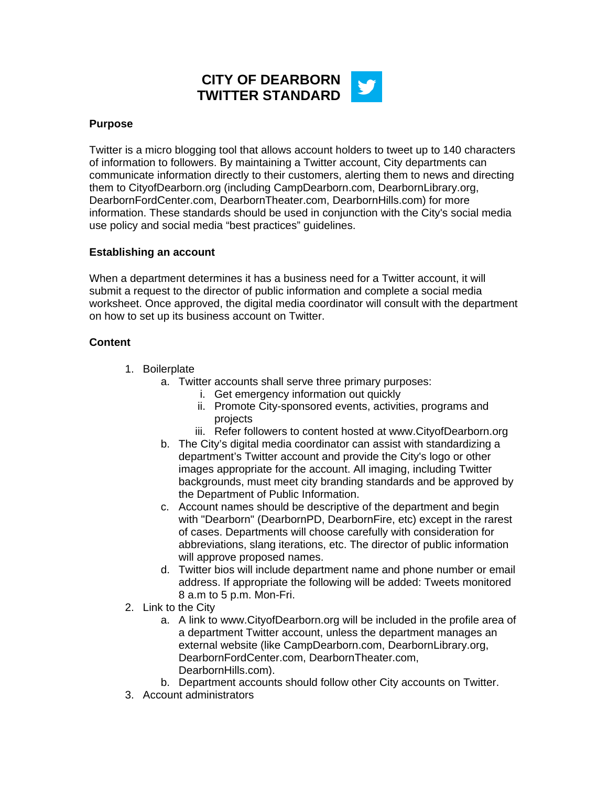

## **Purpose**

Twitter is a micro blogging tool that allows account holders to tweet up to 140 characters of information to followers. By maintaining a Twitter account, City departments can communicate information directly to their customers, alerting them to news and directing them to CityofDearborn.org (including CampDearborn.com, DearbornLibrary.org, DearbornFordCenter.com, DearbornTheater.com, DearbornHills.com) for more information. These standards should be used in conjunction with the City's social media use policy and social media "best practices" guidelines.

## **Establishing an account**

When a department determines it has a business need for a Twitter account, it will submit a request to the director of public information and complete a social media worksheet. Once approved, the digital media coordinator will consult with the department on how to set up its business account on Twitter.

## **Content**

- 1. Boilerplate
	- a. Twitter accounts shall serve three primary purposes:
		- i. Get emergency information out quickly
		- ii. Promote City-sponsored events, activities, programs and projects
		- iii. Refer followers to content hosted at www.CityofDearborn.org
	- b. The City's digital media coordinator can assist with standardizing a department's Twitter account and provide the City's logo or other images appropriate for the account. All imaging, including Twitter backgrounds, must meet city branding standards and be approved by the Department of Public Information.
	- c. Account names should be descriptive of the department and begin with "Dearborn" (DearbornPD, DearbornFire, etc) except in the rarest of cases. Departments will choose carefully with consideration for abbreviations, slang iterations, etc. The director of public information will approve proposed names.
	- d. Twitter bios will include department name and phone number or email address. If appropriate the following will be added: Tweets monitored 8 a.m to 5 p.m. Mon-Fri.
- 2. Link to the City
	- a. A link to www.CityofDearborn.org will be included in the profile area of a department Twitter account, unless the department manages an external website (like CampDearborn.com, DearbornLibrary.org, DearbornFordCenter.com, DearbornTheater.com, DearbornHills.com).
	- b. Department accounts should follow other City accounts on Twitter.
- 3. Account administrators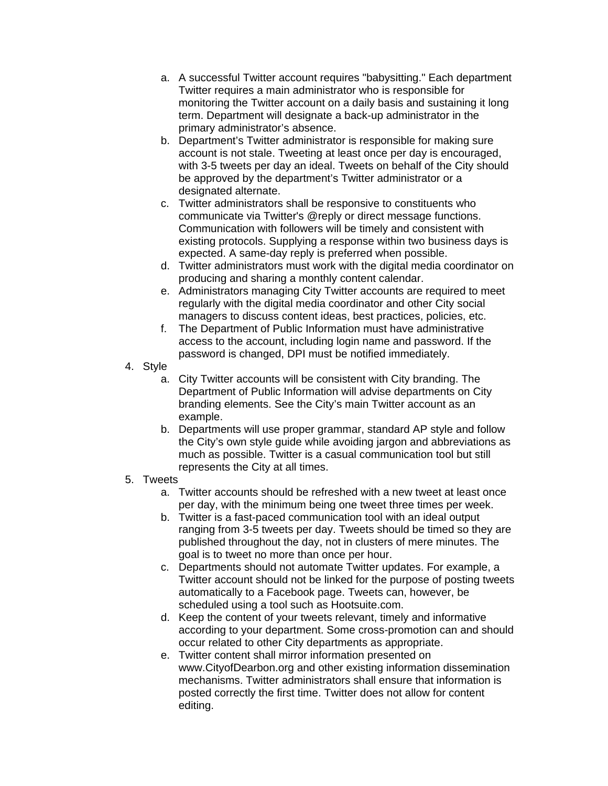- a. A successful Twitter account requires "babysitting." Each department Twitter requires a main administrator who is responsible for monitoring the Twitter account on a daily basis and sustaining it long term. Department will designate a back-up administrator in the primary administrator's absence.
- b. Department's Twitter administrator is responsible for making sure account is not stale. Tweeting at least once per day is encouraged, with 3-5 tweets per day an ideal. Tweets on behalf of the City should be approved by the department's Twitter administrator or a designated alternate.
- c. Twitter administrators shall be responsive to constituents who communicate via Twitter's @reply or direct message functions. Communication with followers will be timely and consistent with existing protocols. Supplying a response within two business days is expected. A same-day reply is preferred when possible.
- d. Twitter administrators must work with the digital media coordinator on producing and sharing a monthly content calendar.
- e. Administrators managing City Twitter accounts are required to meet regularly with the digital media coordinator and other City social managers to discuss content ideas, best practices, policies, etc.
- f. The Department of Public Information must have administrative access to the account, including login name and password. If the password is changed, DPI must be notified immediately.
- 4. Style
	- a. City Twitter accounts will be consistent with City branding. The Department of Public Information will advise departments on City branding elements. See the City's main Twitter account as an example.
	- b. Departments will use proper grammar, standard AP style and follow the City's own style guide while avoiding jargon and abbreviations as much as possible. Twitter is a casual communication tool but still represents the City at all times.

## 5. Tweets

- a. Twitter accounts should be refreshed with a new tweet at least once per day, with the minimum being one tweet three times per week.
- b. Twitter is a fast-paced communication tool with an ideal output ranging from 3-5 tweets per day. Tweets should be timed so they are published throughout the day, not in clusters of mere minutes. The goal is to tweet no more than once per hour.
- c. Departments should not automate Twitter updates. For example, a Twitter account should not be linked for the purpose of posting tweets automatically to a Facebook page. Tweets can, however, be scheduled using a tool such as Hootsuite.com.
- d. Keep the content of your tweets relevant, timely and informative according to your department. Some cross-promotion can and should occur related to other City departments as appropriate.
- e. Twitter content shall mirror information presented on www.CityofDearbon.org and other existing information dissemination mechanisms. Twitter administrators shall ensure that information is posted correctly the first time. Twitter does not allow for content editing.